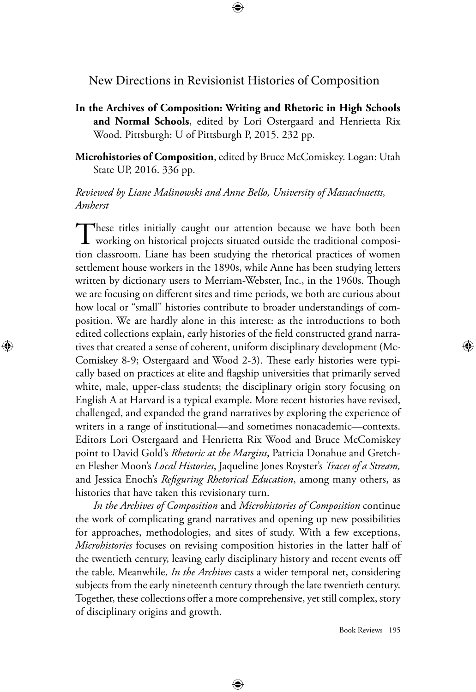New Directions in Revisionist Histories of Composition

⊕

**In the Archives of Composition: Writing and Rhetoric in High Schools and Normal Schools**, edited by Lori Ostergaard and Henrietta Rix Wood. Pittsburgh: U of Pittsburgh P, 2015. 232 pp.

**Microhistories of Composition**, edited by Bruce McComiskey. Logan: Utah State UP, 2016. 336 pp.

*Reviewed by Liane Malinowski and Anne Bello, University of Massachusetts, Amherst*

These titles initially caught our attention because we have both been **L** working on historical projects situated outside the traditional composition classroom. Liane has been studying the rhetorical practices of women settlement house workers in the 1890s, while Anne has been studying letters written by dictionary users to Merriam-Webster, Inc., in the 1960s. Though we are focusing on different sites and time periods, we both are curious about how local or "small" histories contribute to broader understandings of composition. We are hardly alone in this interest: as the introductions to both edited collections explain, early histories of the field constructed grand narratives that created a sense of coherent, uniform disciplinary development (Mc-Comiskey 8-9; Ostergaard and Wood 2-3). These early histories were typically based on practices at elite and flagship universities that primarily served white, male, upper-class students; the disciplinary origin story focusing on English A at Harvard is a typical example. More recent histories have revised, challenged, and expanded the grand narratives by exploring the experience of writers in a range of institutional—and sometimes nonacademic—contexts. Editors Lori Ostergaard and Henrietta Rix Wood and Bruce McComiskey point to David Gold's *Rhetoric at the Margins*, Patricia Donahue and Gretchen Flesher Moon's *Local Histories*, Jaqueline Jones Royster's *Traces of a Stream,*  and Jessica Enoch's *Refiguring Rhetorical Education*, among many others, as histories that have taken this revisionary turn.

⊕

*In the Archives of Composition* and *Microhistories of Composition* continue the work of complicating grand narratives and opening up new possibilities for approaches, methodologies, and sites of study. With a few exceptions, *Microhistories* focuses on revising composition histories in the latter half of the twentieth century, leaving early disciplinary history and recent events off the table. Meanwhile, *In the Archives* casts a wider temporal net, considering subjects from the early nineteenth century through the late twentieth century. Together, these collections offer a more comprehensive, yet still complex, story of disciplinary origins and growth.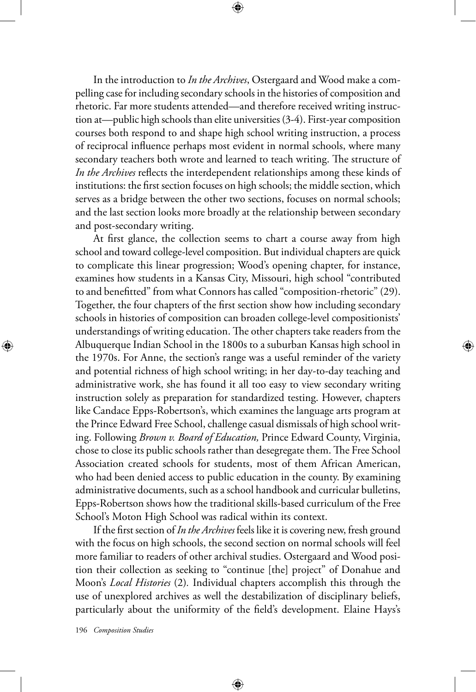In the introduction to *In the Archives*, Ostergaard and Wood make a compelling case for including secondary schools in the histories of composition and rhetoric. Far more students attended—and therefore received writing instruction at—public high schools than elite universities (3-4). First-year composition courses both respond to and shape high school writing instruction, a process of reciprocal influence perhaps most evident in normal schools, where many secondary teachers both wrote and learned to teach writing. The structure of *In the Archives* reflects the interdependent relationships among these kinds of institutions: the first section focuses on high schools; the middle section, which serves as a bridge between the other two sections, focuses on normal schools; and the last section looks more broadly at the relationship between secondary and post-secondary writing.

At first glance, the collection seems to chart a course away from high school and toward college-level composition. But individual chapters are quick to complicate this linear progression; Wood's opening chapter, for instance, examines how students in a Kansas City, Missouri, high school "contributed to and benefitted" from what Connors has called "composition-rhetoric" (29). Together, the four chapters of the first section show how including secondary schools in histories of composition can broaden college-level compositionists' understandings of writing education. The other chapters take readers from the Albuquerque Indian School in the 1800s to a suburban Kansas high school in the 1970s. For Anne, the section's range was a useful reminder of the variety and potential richness of high school writing; in her day-to-day teaching and administrative work, she has found it all too easy to view secondary writing instruction solely as preparation for standardized testing. However, chapters like Candace Epps-Robertson's, which examines the language arts program at the Prince Edward Free School, challenge casual dismissals of high school writing. Following *Brown v. Board of Education,* Prince Edward County, Virginia, chose to close its public schools rather than desegregate them. The Free School Association created schools for students, most of them African American, who had been denied access to public education in the county. By examining administrative documents, such as a school handbook and curricular bulletins, Epps-Robertson shows how the traditional skills-based curriculum of the Free School's Moton High School was radical within its context.

If the first section of *In the Archives* feels like it is covering new, fresh ground with the focus on high schools, the second section on normal schools will feel more familiar to readers of other archival studies. Ostergaard and Wood position their collection as seeking to "continue [the] project" of Donahue and Moon's *Local Histories* (2)*.* Individual chapters accomplish this through the use of unexplored archives as well the destabilization of disciplinary beliefs, particularly about the uniformity of the field's development. Elaine Hays's

⊕

196 *Composition Studies*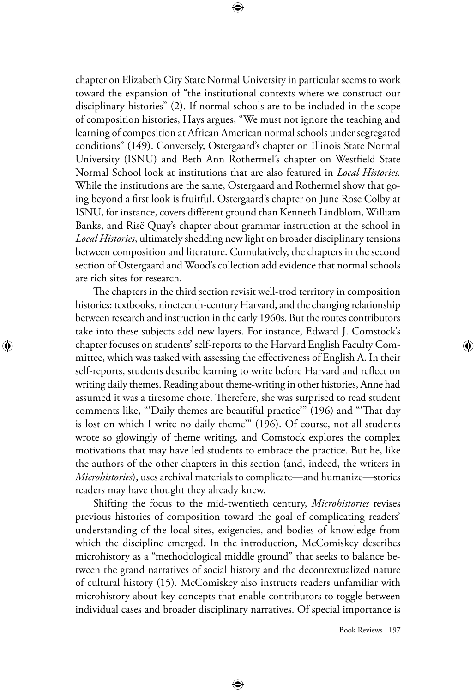chapter on Elizabeth City State Normal University in particular seems to work toward the expansion of "the institutional contexts where we construct our disciplinary histories" (2). If normal schools are to be included in the scope of composition histories, Hays argues, "We must not ignore the teaching and learning of composition at African American normal schools under segregated conditions" (149). Conversely, Ostergaard's chapter on Illinois State Normal University (ISNU) and Beth Ann Rothermel's chapter on Westfield State Normal School look at institutions that are also featured in *Local Histories.*  While the institutions are the same, Ostergaard and Rothermel show that going beyond a first look is fruitful. Ostergaard's chapter on June Rose Colby at ISNU, for instance, covers different ground than Kenneth Lindblom, William Banks, and Risë Quay's chapter about grammar instruction at the school in *Local Histories*, ultimately shedding new light on broader disciplinary tensions between composition and literature. Cumulatively, the chapters in the second section of Ostergaard and Wood's collection add evidence that normal schools are rich sites for research.

⊕

The chapters in the third section revisit well-trod territory in composition histories: textbooks, nineteenth-century Harvard, and the changing relationship between research and instruction in the early 1960s. But the routes contributors take into these subjects add new layers. For instance, Edward J. Comstock's chapter focuses on students' self-reports to the Harvard English Faculty Committee, which was tasked with assessing the effectiveness of English A. In their self-reports, students describe learning to write before Harvard and reflect on writing daily themes. Reading about theme-writing in other histories, Anne had assumed it was a tiresome chore. Therefore, she was surprised to read student comments like, "'Daily themes are beautiful practice'" (196) and "'That day is lost on which I write no daily theme'" (196). Of course, not all students wrote so glowingly of theme writing, and Comstock explores the complex motivations that may have led students to embrace the practice. But he, like the authors of the other chapters in this section (and, indeed, the writers in *Microhistories*), uses archival materials to complicate—and humanize—stories readers may have thought they already knew.

⊕

Shifting the focus to the mid-twentieth century, *Microhistories* revises previous histories of composition toward the goal of complicating readers' understanding of the local sites, exigencies, and bodies of knowledge from which the discipline emerged. In the introduction, McComiskey describes microhistory as a "methodological middle ground" that seeks to balance between the grand narratives of social history and the decontextualized nature of cultural history (15). McComiskey also instructs readers unfamiliar with microhistory about key concepts that enable contributors to toggle between individual cases and broader disciplinary narratives. Of special importance is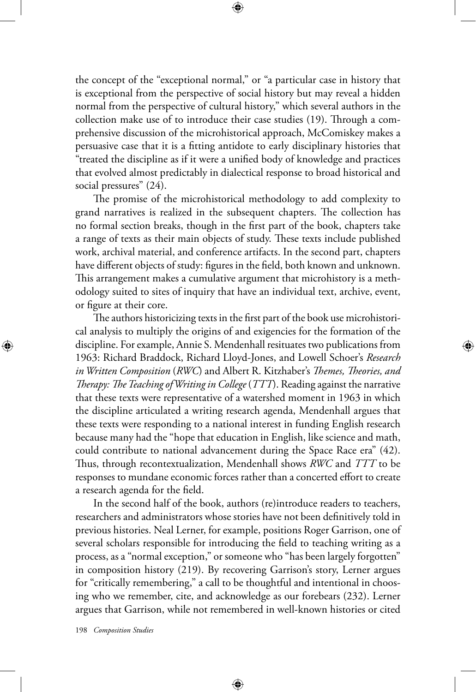the concept of the "exceptional normal," or "a particular case in history that is exceptional from the perspective of social history but may reveal a hidden normal from the perspective of cultural history," which several authors in the collection make use of to introduce their case studies (19). Through a comprehensive discussion of the microhistorical approach, McComiskey makes a persuasive case that it is a fitting antidote to early disciplinary histories that "treated the discipline as if it were a unified body of knowledge and practices that evolved almost predictably in dialectical response to broad historical and social pressures" (24).

⊕

The promise of the microhistorical methodology to add complexity to grand narratives is realized in the subsequent chapters. The collection has no formal section breaks, though in the first part of the book, chapters take a range of texts as their main objects of study. These texts include published work, archival material, and conference artifacts. In the second part, chapters have different objects of study: figures in the field, both known and unknown. This arrangement makes a cumulative argument that microhistory is a methodology suited to sites of inquiry that have an individual text, archive, event, or figure at their core.

The authors historicizing texts in the first part of the book use microhistorical analysis to multiply the origins of and exigencies for the formation of the discipline. For example, Annie S. Mendenhall resituates two publications from 1963: Richard Braddock, Richard Lloyd-Jones, and Lowell Schoer's *Research in Written Composition* (*RWC*) and Albert R. Kitzhaber's *Themes, Theories, and Therapy: The Teaching of Writing in College* (*TTT*). Reading against the narrative that these texts were representative of a watershed moment in 1963 in which the discipline articulated a writing research agenda, Mendenhall argues that these texts were responding to a national interest in funding English research because many had the "hope that education in English, like science and math, could contribute to national advancement during the Space Race era" (42). Thus, through recontextualization, Mendenhall shows *RWC* and *TTT* to be responses to mundane economic forces rather than a concerted effort to create a research agenda for the field.

In the second half of the book, authors (re)introduce readers to teachers, researchers and administrators whose stories have not been definitively told in previous histories. Neal Lerner, for example, positions Roger Garrison, one of several scholars responsible for introducing the field to teaching writing as a process, as a "normal exception," or someone who "has been largely forgotten" in composition history (219). By recovering Garrison's story, Lerner argues for "critically remembering," a call to be thoughtful and intentional in choosing who we remember, cite, and acknowledge as our forebears (232). Lerner argues that Garrison, while not remembered in well-known histories or cited

⊕

198 *Composition Studies*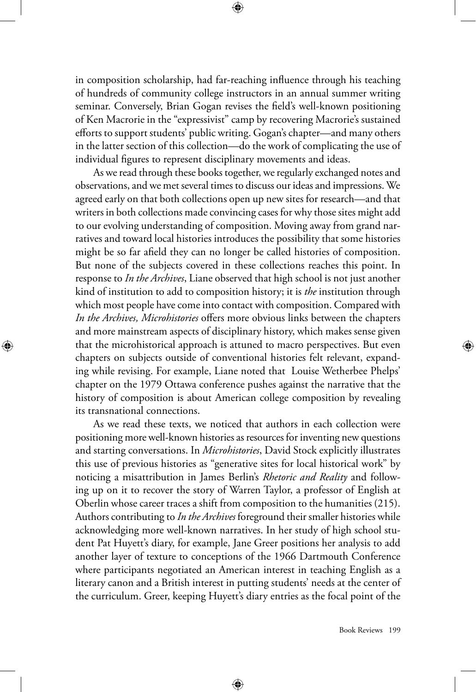in composition scholarship, had far-reaching influence through his teaching of hundreds of community college instructors in an annual summer writing seminar. Conversely, Brian Gogan revises the field's well-known positioning of Ken Macrorie in the "expressivist" camp by recovering Macrorie's sustained efforts to support students' public writing. Gogan's chapter—and many others in the latter section of this collection—do the work of complicating the use of individual figures to represent disciplinary movements and ideas.

As we read through these books together, we regularly exchanged notes and observations, and we met several times to discuss our ideas and impressions. We agreed early on that both collections open up new sites for research—and that writers in both collections made convincing cases for why those sites might add to our evolving understanding of composition. Moving away from grand narratives and toward local histories introduces the possibility that some histories might be so far afield they can no longer be called histories of composition. But none of the subjects covered in these collections reaches this point. In response to *In the Archives*, Liane observed that high school is not just another kind of institution to add to composition history; it is *the* institution through which most people have come into contact with composition. Compared with *In the Archives, Microhistories* offers more obvious links between the chapters and more mainstream aspects of disciplinary history, which makes sense given that the microhistorical approach is attuned to macro perspectives. But even chapters on subjects outside of conventional histories felt relevant, expanding while revising. For example, Liane noted that Louise Wetherbee Phelps' chapter on the 1979 Ottawa conference pushes against the narrative that the history of composition is about American college composition by revealing its transnational connections.

⊕

As we read these texts, we noticed that authors in each collection were positioning more well-known histories as resources for inventing new questions and starting conversations. In *Microhistories*, David Stock explicitly illustrates this use of previous histories as "generative sites for local historical work" by noticing a misattribution in James Berlin's *Rhetoric and Reality* and following up on it to recover the story of Warren Taylor, a professor of English at Oberlin whose career traces a shift from composition to the humanities (215). Authors contributing to *In the Archives* foreground their smaller histories while acknowledging more well-known narratives. In her study of high school student Pat Huyett's diary, for example, Jane Greer positions her analysis to add another layer of texture to conceptions of the 1966 Dartmouth Conference where participants negotiated an American interest in teaching English as a literary canon and a British interest in putting students' needs at the center of the curriculum. Greer, keeping Huyett's diary entries as the focal point of the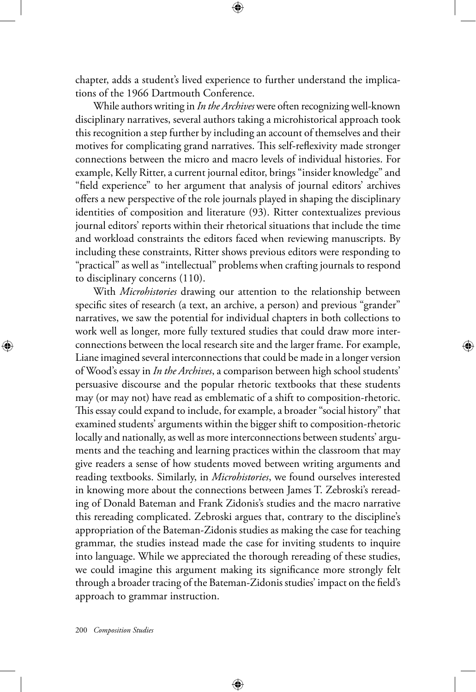chapter, adds a student's lived experience to further understand the implications of the 1966 Dartmouth Conference.

⊕

While authors writing in *In the Archives* were often recognizing well-known disciplinary narratives, several authors taking a microhistorical approach took this recognition a step further by including an account of themselves and their motives for complicating grand narratives. This self-reflexivity made stronger connections between the micro and macro levels of individual histories. For example, Kelly Ritter, a current journal editor, brings "insider knowledge" and "field experience" to her argument that analysis of journal editors' archives offers a new perspective of the role journals played in shaping the disciplinary identities of composition and literature (93). Ritter contextualizes previous journal editors' reports within their rhetorical situations that include the time and workload constraints the editors faced when reviewing manuscripts. By including these constraints, Ritter shows previous editors were responding to "practical" as well as "intellectual" problems when crafting journals to respond to disciplinary concerns (110).

With *Microhistories* drawing our attention to the relationship between specific sites of research (a text, an archive, a person) and previous "grander" narratives, we saw the potential for individual chapters in both collections to work well as longer, more fully textured studies that could draw more interconnections between the local research site and the larger frame. For example, Liane imagined several interconnections that could be made in a longer version of Wood's essay in *In the Archives*, a comparison between high school students' persuasive discourse and the popular rhetoric textbooks that these students may (or may not) have read as emblematic of a shift to composition-rhetoric. This essay could expand to include, for example, a broader "social history" that examined students' arguments within the bigger shift to composition-rhetoric locally and nationally, as well as more interconnections between students' arguments and the teaching and learning practices within the classroom that may give readers a sense of how students moved between writing arguments and reading textbooks. Similarly, in *Microhistories*, we found ourselves interested in knowing more about the connections between James T. Zebroski's rereading of Donald Bateman and Frank Zidonis's studies and the macro narrative this rereading complicated. Zebroski argues that, contrary to the discipline's appropriation of the Bateman-Zidonis studies as making the case for teaching grammar, the studies instead made the case for inviting students to inquire into language. While we appreciated the thorough rereading of these studies, we could imagine this argument making its significance more strongly felt through a broader tracing of the Bateman-Zidonis studies' impact on the field's approach to grammar instruction.

⊕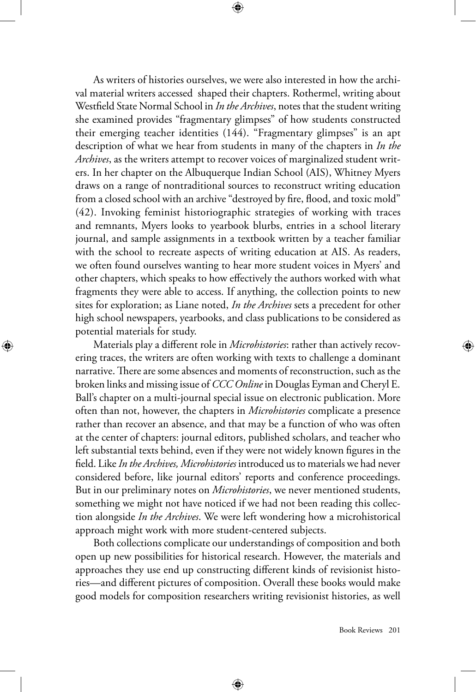As writers of histories ourselves, we were also interested in how the archival material writers accessed shaped their chapters. Rothermel, writing about Westfield State Normal School in *In the Archives*, notes that the student writing she examined provides "fragmentary glimpses" of how students constructed their emerging teacher identities (144). "Fragmentary glimpses" is an apt description of what we hear from students in many of the chapters in *In the Archives*, as the writers attempt to recover voices of marginalized student writers. In her chapter on the Albuquerque Indian School (AIS), Whitney Myers draws on a range of nontraditional sources to reconstruct writing education from a closed school with an archive "destroyed by fire, flood, and toxic mold" (42). Invoking feminist historiographic strategies of working with traces and remnants, Myers looks to yearbook blurbs, entries in a school literary journal, and sample assignments in a textbook written by a teacher familiar with the school to recreate aspects of writing education at AIS. As readers, we often found ourselves wanting to hear more student voices in Myers' and other chapters, which speaks to how effectively the authors worked with what fragments they were able to access. If anything, the collection points to new sites for exploration; as Liane noted, *In the Archives* sets a precedent for other high school newspapers, yearbooks, and class publications to be considered as potential materials for study.

Materials play a different role in *Microhistories*: rather than actively recovering traces, the writers are often working with texts to challenge a dominant narrative. There are some absences and moments of reconstruction, such as the broken links and missing issue of *CCC Online* in Douglas Eyman and Cheryl E. Ball's chapter on a multi-journal special issue on electronic publication. More often than not, however, the chapters in *Microhistories* complicate a presence rather than recover an absence, and that may be a function of who was often at the center of chapters: journal editors, published scholars, and teacher who left substantial texts behind, even if they were not widely known figures in the field. Like *In the Archives, Microhistories* introduced us to materials we had never considered before, like journal editors' reports and conference proceedings. But in our preliminary notes on *Microhistories*, we never mentioned students, something we might not have noticed if we had not been reading this collection alongside *In the Archives*. We were left wondering how a microhistorical approach might work with more student-centered subjects.

⊕

Both collections complicate our understandings of composition and both open up new possibilities for historical research. However, the materials and approaches they use end up constructing different kinds of revisionist histories—and different pictures of composition. Overall these books would make good models for composition researchers writing revisionist histories, as well